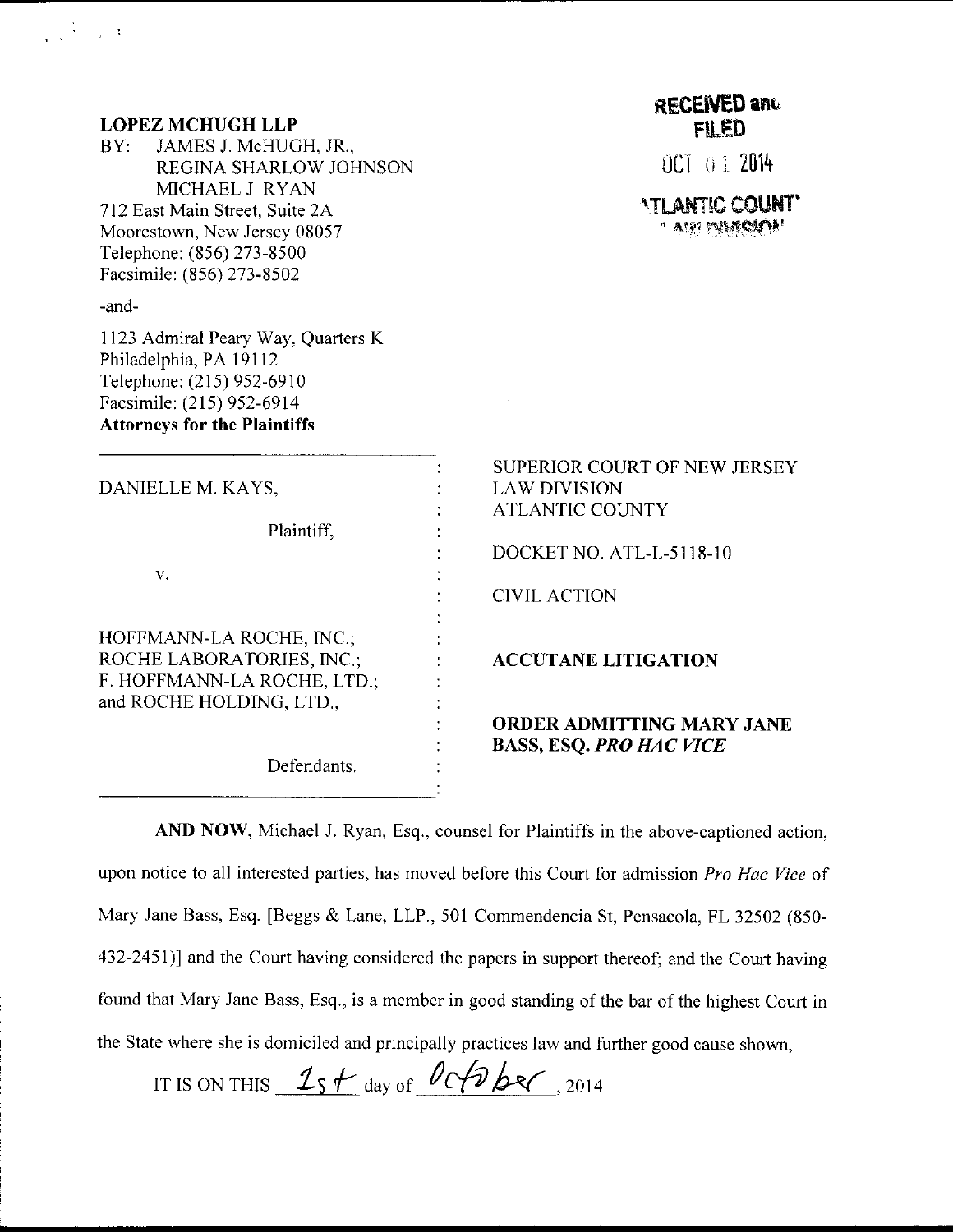| <b>LOPEZ MCHUGH LLP</b>                                                                                                                                       | <b>RECENED and</b><br><b>FILED</b>                                            |
|---------------------------------------------------------------------------------------------------------------------------------------------------------------|-------------------------------------------------------------------------------|
| JAMES J. McHUGH, JR.,<br>BY<br>REGINA SHARLOW JOHNSON                                                                                                         | OCT 01 2014                                                                   |
| MICHAEL J. RYAN<br>712 East Main Street, Suite 2A<br>Moorestown, New Jersey 08057<br>Telephone: (856) 273-8500<br>Facsimile: (856) 273-8502                   | <b>ATLANTIC COUNT</b><br>' am langon                                          |
| -and-                                                                                                                                                         |                                                                               |
| 1123 Admiral Peary Way, Quarters K<br>Philadelphia, PA 19112<br>Telephone: (215) 952-6910<br>Facsimile: (215) 952-6914<br><b>Attorneys for the Plaintiffs</b> |                                                                               |
| DANIELLE M. KAYS,<br>Plaintiff,                                                                                                                               | SUPERIOR COURT OF NEW JERSEY<br><b>LAW DIVISION</b><br><b>ATLANTIC COUNTY</b> |
|                                                                                                                                                               | DOCKET NO. ATL-L-5118-10                                                      |
| V.                                                                                                                                                            | <b>CIVIL ACTION</b>                                                           |
| HOFFMANN-LA ROCHE, INC.;<br>ROCHE LABORATORIES, INC.;<br>F. HOFFMANN-LA ROCHE, LTD.;                                                                          | <b>ACCUTANE LITIGATION</b>                                                    |
| and ROCHE HOLDING, LTD.,<br>Defendants.                                                                                                                       | <b>ORDER ADMITTING MARY JANE</b><br><b>BASS, ESQ. PRO HAC VICE</b>            |

 $\frac{1}{\sqrt{2\pi}}\frac{1}{\sqrt{2\pi}}\left(\frac{1}{\sqrt{2\pi}}\right)^2\frac{1}{\sqrt{2\pi}}\left(\frac{1}{\sqrt{2\pi}}\right)^2$ 

AND NOW, Michael J. Ryan, Esq., counsel for Plaintiffs in the above-captioned action, upon notice to all interested parties, has moved before this Court for admission Pro Hac Vice of Mary Jane Bass, Esq. [Beggs & Lane. LLP.. 501 Commendencia St, Pensacola, FL 32502 (850- 432-2451)) and the Court having considered the papers in support thereof; and the Court having found that Mary Jane Bass. Esq., is a member in good standing of the bar of the highest Court in the State where she is domiciled and principally practices law and further good cause shown,

IT IS ON THIS  $25 + \text{day of }$   $0.66$